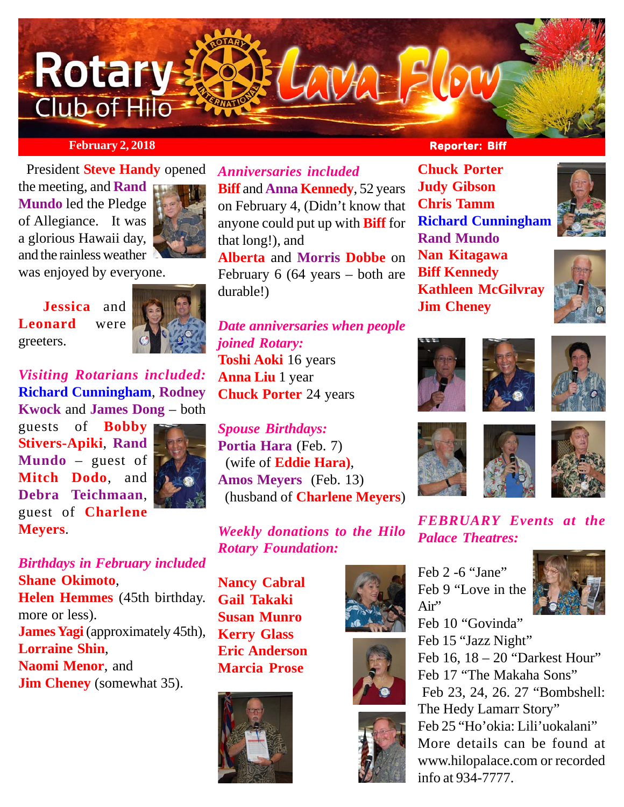

# **February 2, 2018 Reporter: Biff Reporter: Biff**

 President **Steve Handy** opened the meeting, and **Rand Mundo** led the Pledge of Allegiance. It was a glorious Hawaii day, and the rainless weather



was enjoyed by everyone.

 **Jessica** and **Leonard** were greeters.



*Visiting Rotarians included:* **Richard Cunningham**, **Rodney Kwock** and **James Dong** – both

guests of **Bobby Stivers-Apiki**, **Rand Mundo** – guest of **Mitch Dodo**, and **Debra Teichmaan**, guest of **Charlene Meyers**.



*Birthdays in February included* **Shane Okimoto**, **Helen Hemmes** (45th birthday. more or less). **James Yagi** (approximately 45th), **Lorraine Shin**, **Naomi Menor**, and **Jim Cheney** (somewhat 35).

*Anniversaries included* **Biff and Anna Kennedy**, 52 years on February 4, (Didn't know that anyone could put up with **Biff** for that long!), and

**Alberta** and **Morris Dobbe** on February 6 (64 years – both are durable!)

*Date anniversaries when people joined Rotary:* **Toshi Aoki** 16 years **Anna Liu** 1 year **Chuck Porter** 24 years

*Spouse Birthdays:* **Portia Hara** (Feb. 7) (wife of **Eddie Hara)**, **Amos Meyers** (Feb. 13) (husband of **Charlene Meyers**)

*Weekly donations to the Hilo Rotary Foundation:*

**Nancy Cabral Gail Takaki Susan Munro Kerry Glass Eric Anderson Marcia Prose**









**Chuck Porter Judy Gibson Chris Tamm Richard Cunningham Rand Mundo Nan Kitagawa Biff Kennedy Kathleen McGilvray Jim Cheney**











*FEBRUARY Events at the Palace Theatres:*

Feb 2 -6 "Jane" Feb 9 "Love in the Air" Feb 10 "Govinda"



Feb 15 "Jazz Night" Feb 16, 18 – 20 "Darkest Hour" Feb 17 "The Makaha Sons" Feb 23, 24, 26. 27 "Bombshell: The Hedy Lamarr Story" Feb 25 "Ho'okia: Lili'uokalani" More details can be found at www.hilopalace.com or recorded info at 934-7777.